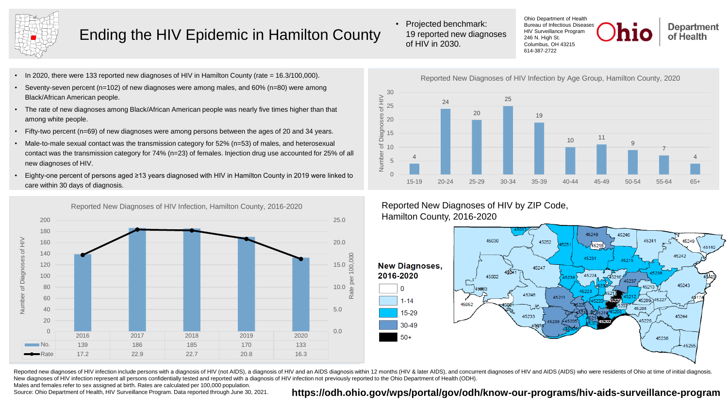

# Ending the HIV Epidemic in Hamilton County

- In 2020, there were 133 reported new diagnoses of HIV in Hamilton County (rate = 16.3/100,000).
- Seventy-seven percent ( $n=102$ ) of new diagnoses were among males, and  $60\%$  ( $n=80$ ) were among Black/African American people.
- The rate of new diagnoses among Black/African American people was nearly five times higher than that among white people.
- Fifty-two percent (n=69) of new diagnoses were among persons between the ages of 20 and 34 years.
- Male-to-male sexual contact was the transmission category for 52% (n=53) of males, and heterosexual contact was the transmission category for 74% (n=23) of females. Injection drug use accounted for 25% of all new diagnoses of HIV.
- Eighty-one percent of persons aged ≥13 years diagnosed with HIV in Hamilton County in 2019 were linked to care within 30 days of diagnosis.



• Projected benchmark: 19 reported new diagnoses of HIV in 2030.

Ohio Department of Health Bureau of Infectious Diseases HIV Surveillance Program 246 N. High St. Columbus, OH 43215 614-387-2722

**Department** of Health



### Reported New Diagnoses of HIV by ZIP Code, Hamilton County, 2016-2020



Reported new diagnoses of HIV infection include persons with a diagnosis of HIV (not AIDS), a diagnosis of HIV and an AIDS diagnosis within 12 months (HIV & later AIDS), and concurrent diagnoses of HIV and AIDS (AIDS) who New diagnoses of HIV infection represent all persons confidentially tested and reported with a diagnosis of HIV infection not previously reported to the Ohio Department of Health (ODH).

Males and females refer to sex assigned at birth. Rates are calculated per 100,000 population.

Source: Ohio Department of Health, HIV Surveillance Program. Data reported through June 30, 2021.

#### **<https://odh.ohio.gov/wps/portal/gov/odh/know-our-programs/hiv-aids-surveillance-program>**